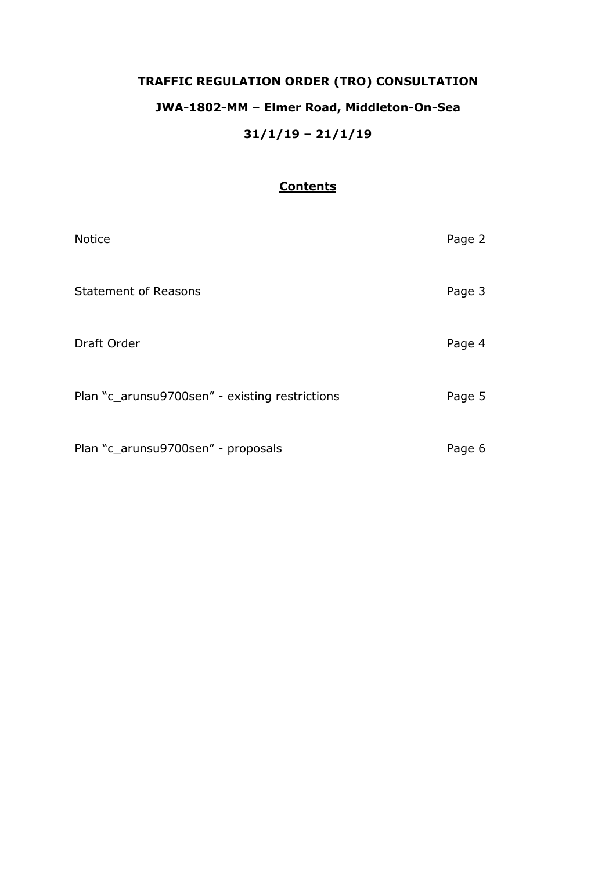# **TRAFFIC REGULATION ORDER (TRO) CONSULTATION JWA-1802-MM – Elmer Road, Middleton-On-Sea 31/1/19 – 21/1/19**

# **Contents**

| <b>Notice</b>                                  | Page 2 |
|------------------------------------------------|--------|
| <b>Statement of Reasons</b>                    | Page 3 |
| Draft Order                                    | Page 4 |
| Plan "c_arunsu9700sen" - existing restrictions | Page 5 |
| Plan "c_arunsu9700sen" - proposals             | Page 6 |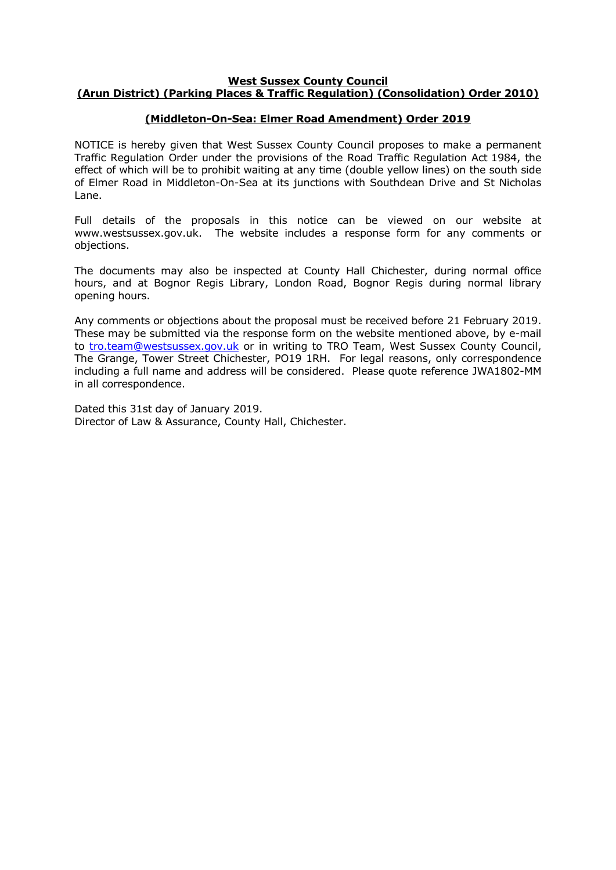#### **West Sussex County Council (Arun District) (Parking Places & Traffic Regulation) (Consolidation) Order 2010)**

## **(Middleton-On-Sea: Elmer Road Amendment) Order 2019**

NOTICE is hereby given that West Sussex County Council proposes to make a permanent Traffic Regulation Order under the provisions of the Road Traffic Regulation Act 1984, the effect of which will be to prohibit waiting at any time (double yellow lines) on the south side of Elmer Road in Middleton-On-Sea at its junctions with Southdean Drive and St Nicholas Lane.

Full details of the proposals in this notice can be viewed on our website at www.westsussex.gov.uk. The website includes a response form for any comments or objections.

The documents may also be inspected at County Hall Chichester, during normal office hours, and at Bognor Regis Library, London Road, Bognor Regis during normal library opening hours.

Any comments or objections about the proposal must be received before 21 February 2019. These may be submitted via the response form on the website mentioned above, by e-mail to [tro.team@westsussex.gov.uk](mailto:tro.team@westsussex.gov.uk) or in writing to TRO Team, West Sussex County Council, The Grange, Tower Street Chichester, PO19 1RH. For legal reasons, only correspondence including a full name and address will be considered. Please quote reference JWA1802-MM in all correspondence.

Dated this 31st day of January 2019. Director of Law & Assurance, County Hall, Chichester.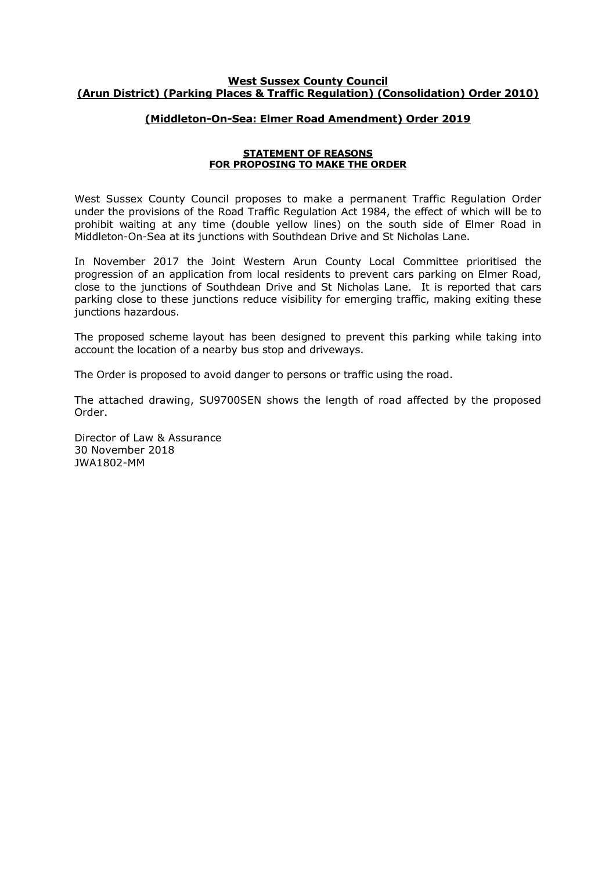## **West Sussex County Council (Arun District) (Parking Places & Traffic Regulation) (Consolidation) Order 2010)**

## **(Middleton-On-Sea: Elmer Road Amendment) Order 2019**

#### **STATEMENT OF REASONS FOR PROPOSING TO MAKE THE ORDER**

West Sussex County Council proposes to make a permanent Traffic Regulation Order under the provisions of the Road Traffic Regulation Act 1984, the effect of which will be to prohibit waiting at any time (double yellow lines) on the south side of Elmer Road in Middleton-On-Sea at its junctions with Southdean Drive and St Nicholas Lane.

In November 2017 the Joint Western Arun County Local Committee prioritised the progression of an application from local residents to prevent cars parking on Elmer Road, close to the junctions of Southdean Drive and St Nicholas Lane. It is reported that cars parking close to these junctions reduce visibility for emerging traffic, making exiting these junctions hazardous.

The proposed scheme layout has been designed to prevent this parking while taking into account the location of a nearby bus stop and driveways.

The Order is proposed to avoid danger to persons or traffic using the road.

The attached drawing, SU9700SEN shows the length of road affected by the proposed Order.

Director of Law & Assurance 30 November 2018 JWA1802-MM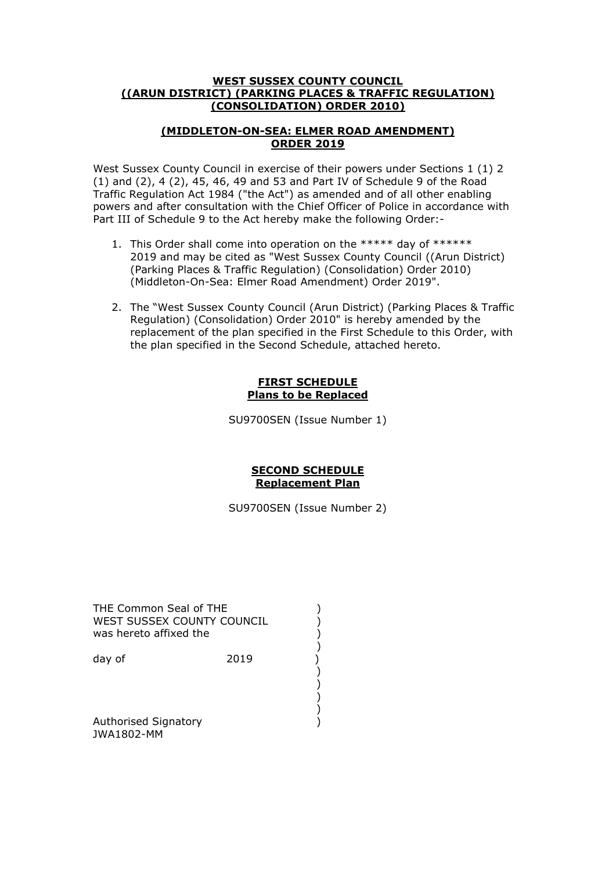## **WEST SUSSEX COUNTY COUNCIL ((ARUN DISTRICT) (PARKING PLACES & TRAFFIC REGULATION) (CONSOLIDATION) ORDER 2010)**

## **(MIDDLETON-ON-SEA: ELMER ROAD AMENDMENT) ORDER 2019**

West Sussex County Council in exercise of their powers under Sections 1 (1) 2 (1) and (2), 4 (2), 45, 46, 49 and 53 and Part IV of Schedule 9 of the Road Traffic Regulation Act 1984 ("the Act") as amended and of all other enabling powers and after consultation with the Chief Officer of Police in accordance with Part III of Schedule 9 to the Act hereby make the following Order:-

- 1. This Order shall come into operation on the \*\*\*\*\* day of \*\*\*\*\*\* 2019 and may be cited as "West Sussex County Council ((Arun District) (Parking Places & Traffic Regulation) (Consolidation) Order 2010) (Middleton-On-Sea: Elmer Road Amendment) Order 2019".
- 2. The "West Sussex County Council (Arun District) (Parking Places & Traffic Regulation) (Consolidation) Order 2010" is hereby amended by the replacement of the plan specified in the First Schedule to this Order, with the plan specified in the Second Schedule, attached hereto.

## **FIRST SCHEDULE Plans to be Replaced**

SU9700SEN (Issue Number 1)

## **SECOND SCHEDULE Replacement Plan**

SU9700SEN (Issue Number 2)

THE Common Seal of THE (2002) WEST SUSSEX COUNTY COUNCIL  $)$ was hereto affixed the ()<br>day of (2019)<br>()<br>() ()<br>()

 ) ) )

 ) day of 2019

 ) Authorised Signatory (1999) JWA1802-MM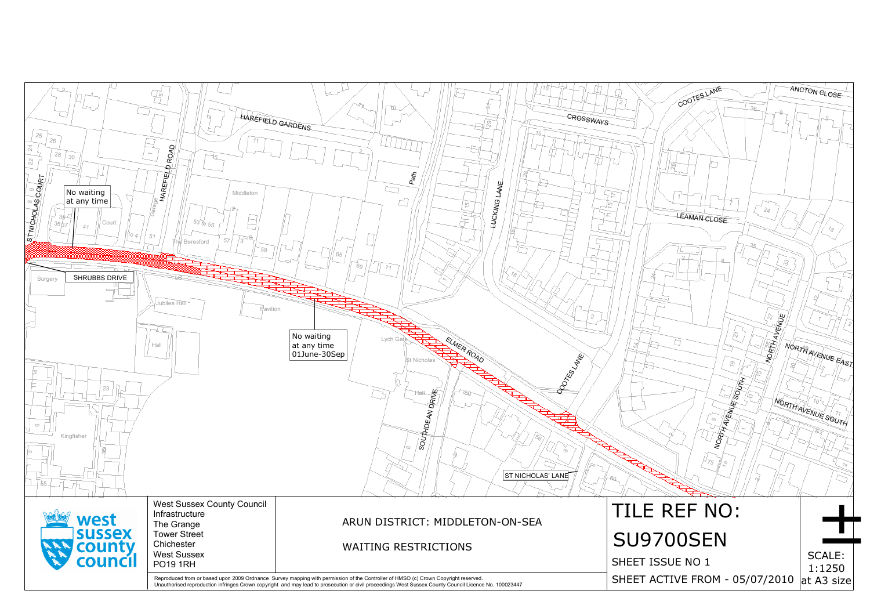